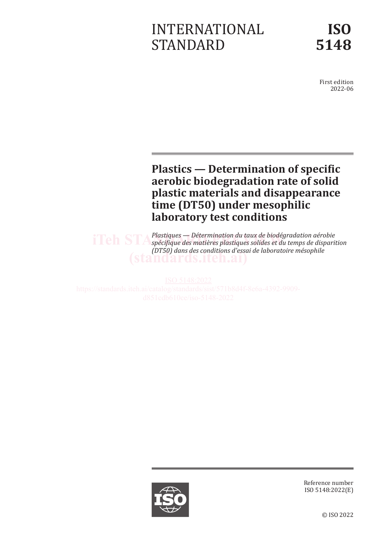# INTERNATIONAL STANDARD

**ISO 5148**

> First edition 2022-06

# **Plastics — Determination of specific aerobic biodegradation rate of solid plastic materials and disappearance time (DT50) under mesophilic laboratory test conditions**

*Plastiques — Détermination du taux de biodégradation aérobie spécifique des matières plastiques solides et du temps de disparition (DT50) dans des conditions d'essai de laboratoire mésophile* TCH STA Photogras — bleemtinetion du taux de biodgradation afroble<br>
for the conditions description (ST2)<br>
(ST2) dans des conditions d'essai de laboratoire mésophile<br>
(ST2)<br>
(ST2)<br>
(ST2)<br>
(ST2)<br>
(ST2)<br>
(ST2)<br>
(ST2)<br>
(ST2)<br>



Reference number ISO 5148:2022(E)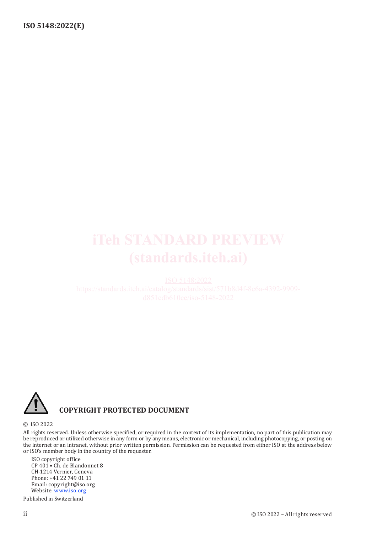# Teh STANDARD PREVIEW<br>
(standards.iteh.aicatalog/standards/siat/571b8d4f-8e6a-4392-9909-<br>
dS1cdb610ce/iso-5148-2022<br>
dS1cdb610ce/iso-5148-2022<br>
HT PROTECTED DOCUMENT<br>
HTTPROTECTED DOCUMENT<br>
HTTPROTECTED DOCUMENT<br>
HTTPROTECT



### **COPYRIGHT PROTECTED DOCUMENT**

### © ISO 2022

All rights reserved. Unless otherwise specified, or required in the context of its implementation, no part of this publication may be reproduced or utilized otherwise in any form or by any means, electronic or mechanical, including photocopying, or posting on the internet or an intranet, without prior written permission. Permission can be requested from either ISO at the address below or ISO's member body in the country of the requester.

ISO copyright office CP 401 • Ch. de Blandonnet 8 CH-1214 Vernier, Geneva Phone: +41 22 749 01 11 Email: copyright@iso.org Website: [www.iso.org](https://www.iso.org)

Published in Switzerland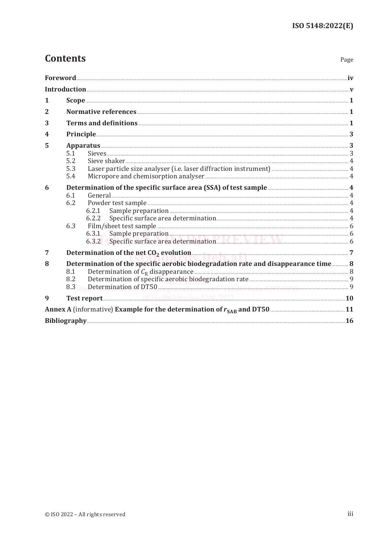# **Contents**

| 1<br>$\overline{2}$<br>3<br>4<br>5<br>5.1<br>5.2<br>5.3<br>5.4<br>6<br>6.1<br>6.2<br>6.2.1<br>6.2.2<br>6.3<br>Sample preparation <b>with the contract of the contract of the contract of the contract of the contract of the contract of the contract of the contract of the contract of the contract of the contract of the contract of the c</b><br>6.3.1<br>Determination of the net $CO2$ evolution<br>$\overline{7}$<br>Determination of the specific aerobic biodegradation rate and disappearance time 8<br>8<br>Determination of $C_R$ disappearance <b><i>manufacture in the contract of <math>C_R</math></i></b> disappearance <b><i>g</i></b><br>8.1<br>8.2<br>8.3<br>9<br>Bibliography 26 |  |  |
|-------------------------------------------------------------------------------------------------------------------------------------------------------------------------------------------------------------------------------------------------------------------------------------------------------------------------------------------------------------------------------------------------------------------------------------------------------------------------------------------------------------------------------------------------------------------------------------------------------------------------------------------------------------------------------------------------------|--|--|
|                                                                                                                                                                                                                                                                                                                                                                                                                                                                                                                                                                                                                                                                                                       |  |  |
|                                                                                                                                                                                                                                                                                                                                                                                                                                                                                                                                                                                                                                                                                                       |  |  |
|                                                                                                                                                                                                                                                                                                                                                                                                                                                                                                                                                                                                                                                                                                       |  |  |
|                                                                                                                                                                                                                                                                                                                                                                                                                                                                                                                                                                                                                                                                                                       |  |  |
|                                                                                                                                                                                                                                                                                                                                                                                                                                                                                                                                                                                                                                                                                                       |  |  |
|                                                                                                                                                                                                                                                                                                                                                                                                                                                                                                                                                                                                                                                                                                       |  |  |
|                                                                                                                                                                                                                                                                                                                                                                                                                                                                                                                                                                                                                                                                                                       |  |  |
|                                                                                                                                                                                                                                                                                                                                                                                                                                                                                                                                                                                                                                                                                                       |  |  |
|                                                                                                                                                                                                                                                                                                                                                                                                                                                                                                                                                                                                                                                                                                       |  |  |
|                                                                                                                                                                                                                                                                                                                                                                                                                                                                                                                                                                                                                                                                                                       |  |  |
|                                                                                                                                                                                                                                                                                                                                                                                                                                                                                                                                                                                                                                                                                                       |  |  |
|                                                                                                                                                                                                                                                                                                                                                                                                                                                                                                                                                                                                                                                                                                       |  |  |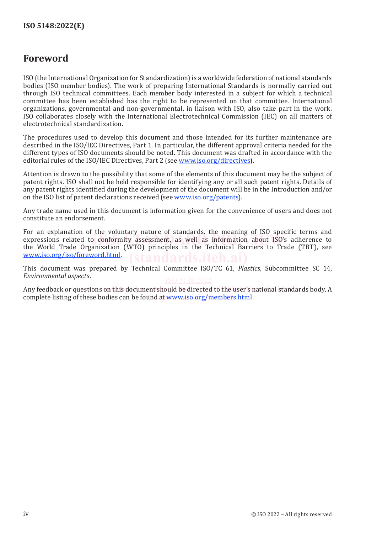# **Foreword**

ISO (the International Organization for Standardization) is a worldwide federation of national standards bodies (ISO member bodies). The work of preparing International Standards is normally carried out through ISO technical committees. Each member body interested in a subject for which a technical committee has been established has the right to be represented on that committee. International organizations, governmental and non-governmental, in liaison with ISO, also take part in the work. ISO collaborates closely with the International Electrotechnical Commission (IEC) on all matters of electrotechnical standardization.

The procedures used to develop this document and those intended for its further maintenance are described in the ISO/IEC Directives, Part 1. In particular, the different approval criteria needed for the different types of ISO documents should be noted. This document was drafted in accordance with the editorial rules of the ISO/IEC Directives, Part 2 (see [www.iso.org/directives\)](https://www.iso.org/directives-and-policies.html).

Attention is drawn to the possibility that some of the elements of this document may be the subject of patent rights. ISO shall not be held responsible for identifying any or all such patent rights. Details of any patent rights identified during the development of the document will be in the Introduction and/or on the ISO list of patent declarations received (see [www.iso.org/patents](https://www.iso.org/iso-standards-and-patents.html)).

Any trade name used in this document is information given for the convenience of users and does not constitute an endorsement.

For an explanation of the voluntary nature of standards, the meaning of ISO specific terms and expressions related to conformity assessment, as well as information about ISO's adherence to the World Trade Organization (WTO) principles in the Technical Barriers to Trade (TBT), see [www.iso.org/iso/foreword.html.](https://www.iso.org/foreword-supplementary-information.html) interaction and the model of the model of the model of the model of the model of the model of the model of the model and the model of the model and the model of the model and the model and the model of the model of the mod **(standards.iteh.ai)**

This document was prepared by Technical Committee ISO/TC 61, *Plastics*, Subcommittee SC 14, *Environmental aspects*.

Any feedback or questions on this document should be directed to the user's national standards body. A complete listing of these bodies can be found at <u>www.iso.org/members.html</u>.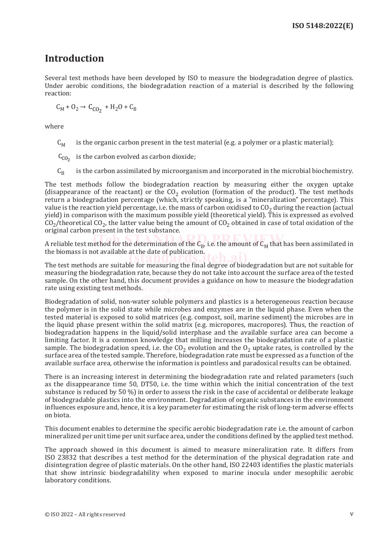# **Introduction**

Several test methods have been developed by ISO to measure the biodegradation degree of plastics. Under aerobic conditions, the biodegradation reaction of a material is described by the following reaction:

 $C_M + O_2 \rightarrow C_{CO_2} + H_2O + C_B$ 

where

 $C_M$  is the organic carbon present in the test material (e.g. a polymer or a plastic material);

 $C_{CO<sub>2</sub>}$  is the carbon evolved as carbon dioxide;

 $C_{\rm B}$  is the carbon assimilated by microorganism and incorporated in the microbial biochemistry.

The test methods follow the biodegradation reaction by measuring either the oxygen uptake (disappearance of the reactant) or the  $CO<sub>2</sub>$  evolution (formation of the product). The test methods return a biodegradation percentage (which, strictly speaking, is a "mineralization" percentage). This value is the reaction yield percentage, i.e. the mass of carbon oxidised to  $CO<sub>2</sub>$  during the reaction (actual yield) in comparison with the maximum possible yield (theoretical yield). This is expressed as evolved  $CO<sub>2</sub>/$ theoretical  $CO<sub>2</sub>$ , the latter value being the amount of  $CO<sub>2</sub>$  obtained in case of total oxidation of the original carbon present in the test substance.

A reliable test method for the determination of the  $C_B$ , i.e. the amount of  $C_M$  that has been assimilated in the biomass is not available at the date of publication.

the biomass is not available at the date of publication.<br>The test methods are suitable for measuring the final degree of biodegradation but are not suitable for measuring the biodegradation rate, because they do not take into account the surface area of the tested sample. On the other hand, this document provides a guidance on how to measure the biodegradation rate using existing test methods.

Biodegradation of solid, non-water soluble polymers and plastics is a heterogeneous reaction because the polymer is in the solid state while microbes and enzymes are in the liquid phase. Even when the tested material is exposed to solid matrices (e.g. compost, soil, marine sediment) the microbes are in the liquid phase present within the solid matrix (e.g. micropores, macropores). Thus, the reaction of biodegradation happens in the liquid/solid interphase and the available surface area can become a limiting factor. It is a common knowledge that milling increases the biodegradation rate of a plastic sample. The biodegradation speed, i.e. the  $CO<sub>2</sub>$  evolution and the  $O<sub>2</sub>$  uptake rates, is controlled by the surface area of the tested sample. Therefore, biodegradation rate must be expressed as a function of the available surface area, otherwise the information is pointless and paradoxical results can be obtained. d851cdb610ce/iso-5148-2022

There is an increasing interest in determining the biodegradation rate and related parameters (such as the disappearance time 50, DT50, i.e. the time within which the initial concentration of the test substance is reduced by 50 %) in order to assess the risk in the case of accidental or deliberate leakage of biodegradable plastics into the environment. Degradation of organic substances in the environment influences exposure and, hence, it is a key parameter for estimating the risk of long-term adverse effects on biota.

This document enables to determine the specific aerobic biodegradation rate i.e. the amount of carbon mineralized per unit time per unit surface area, under the conditions defined by the applied test method.

The approach showed in this document is aimed to measure mineralization rate. It differs from ISO 23832 that describes a test method for the determination of the physical degradation rate and disintegration degree of plastic materials. On the other hand, ISO 22403 identifies the plastic materials that show intrinsic biodegradability when exposed to marine inocula under mesophilic aerobic laboratory conditions.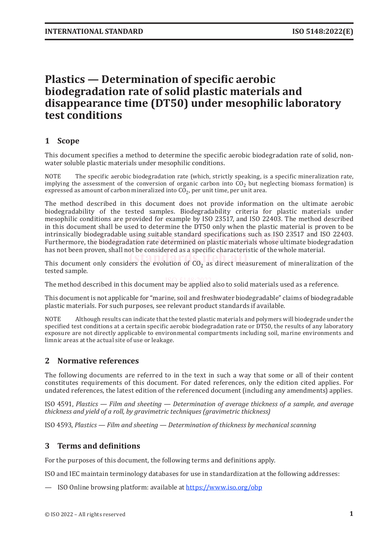# **Plastics — Determination of specific aerobic biodegradation rate of solid plastic materials and disappearance time (DT50) under mesophilic laboratory test conditions**

### **1 Scope**

This document specifies a method to determine the specific aerobic biodegradation rate of solid, nonwater soluble plastic materials under mesophilic conditions.

NOTE The specific aerobic biodegradation rate (which, strictly speaking, is a specific mineralization rate, implying the assessment of the conversion of organic carbon into  $CO<sub>2</sub>$  but neglecting biomass formation) is expressed as amount of carbon mineralized into  $CO<sub>2</sub>$ , per unit time, per unit area.

The method described in this document does not provide information on the ultimate aerobic biodegradability of the tested samples. Biodegradability criteria for plastic materials under mesophilic conditions are provided for example by ISO 23517, and ISO 22403. The method described in this document shall be used to determine the DT50 only when the plastic material is proven to be intrinsically biodegradable using suitable standard specifications such as ISO 23517 and ISO 22403. intrinsically biodegradable using suitable standard specifications such as ISO 23517 and ISO 22403.<br>Furthermore, the biodegradation rate determined on plastic materials whose ultimate biodegradation has not been proven, shall not be considered as a specific characteristic of the whole material.

This document only considers the evolution of  $CO<sub>2</sub>$  as direct measurement of mineralization of the  $\frac{1}{100}$ tested sample.

The method described in this document may be applied also to solid materials used as a reference. ISO 5148:2022 https://standards.iteh.ai/catalog/standards/sist/571b8d4f-8e6a-4392-9909-

This document is not applicable for "marine, soil and freshwater biodegradable" claims of biodegradable plastic materials. For such purposes, see relevant product standards if available.

NOTE Although results can indicate that the tested plastic materials and polymers will biodegrade under the specified test conditions at a certain specific aerobic biodegradation rate or DT50, the results of any laboratory exposure are not directly applicable to environmental compartments including soil, marine environments and limnic areas at the actual site of use or leakage.

### **2 Normative references**

The following documents are referred to in the text in such a way that some or all of their content constitutes requirements of this document. For dated references, only the edition cited applies. For undated references, the latest edition of the referenced document (including any amendments) applies.

ISO 4591, *Plastics — Film and sheeting — Determination of average thickness of a sample, and average thickness and yield of a roll, by gravimetric techniques (gravimetric thickness)*

ISO 4593, *Plastics — Film and sheeting — Determination of thickness by mechanical scanning*

### **3 Terms and definitions**

For the purposes of this document, the following terms and definitions apply.

ISO and IEC maintain terminology databases for use in standardization at the following addresses:

— ISO Online browsing platform: available at [https://www.iso.org/obp](https://www.iso.org/obp/ui)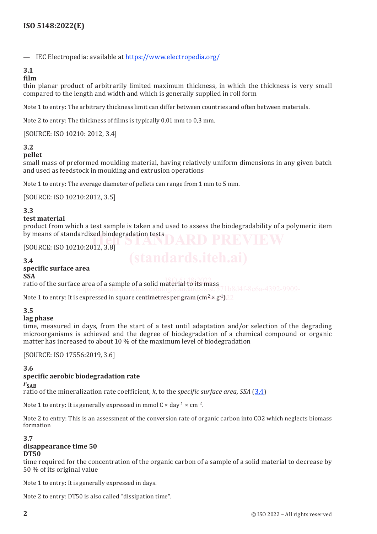IEC Electropedia: available at [https://www](https://www.electropedia.org/).electropedia.org/

### **3.1**

### **film**

thin planar product of arbitrarily limited maximum thickness, in which the thickness is very small compared to the length and width and which is generally supplied in roll form

Note 1 to entry: The arbitrary thickness limit can differ between countries and often between materials.

Note 2 to entry: The thickness of films is typically 0,01 mm to 0,3 mm.

[SOURCE: ISO 10210: 2012, 3.4]

### **3.2**

### **pellet**

small mass of preformed moulding material, having relatively uniform dimensions in any given batch and used as feedstock in moulding and extrusion operations

Note 1 to entry: The average diameter of pellets can range from 1 mm to 5 mm.

[SOURCE: ISO 10210:2012, 3.5]

### **3.3**

### **test material**

product from which a test sample is taken and used to assess the biodegradability of a polymeric item by means of standardized biodegradation tests

[SOURCE: ISO 10210:2012, 3.8]

### **3.4**

### **specific surface area**

### **SSA**

 $\frac{1}{\sqrt{2}}$  ratio of the surface area of a sample of a solid material to its mass

Note 1 to entry: It is expressed in square centimetres per gram (cm $^{2|}$   $\!\times$  g $^{4})$ .)  $\!\times$ 

### **3.5**

### **lag phase**

time, measured in days, from the start of a test until adaptation and/or selection of the degrading microorganisms is achieved and the degree of biodegradation of a chemical compound or organic matter has increased to about 10 % of the maximum level of biodegradation

[SOURCE: ISO 17556:2019, 3.6]

### **3.6**

### **specific aerobic biodegradation rate**

### $r_{SAB}$

ratio of the mineralization rate coefficient, *k*, to the *specific surface area*, SSA (3.4)

Note 1 to entry: It is generally expressed in mmol  $C \times day^{-1} \times cm^{-2}$ .

Note 2 to entry: This is an assessment of the conversion rate of organic carbon into CO2 which neglects biomass formation

### **3.7**

### **disappearance time 50**

### **DT50**

time required for the concentration of the organic carbon of a sample of a solid material to decrease by 50 % of its original value

Note 1 to entry: It is generally expressed in days.

Note 2 to entry: DT50 is also called "dissipation time".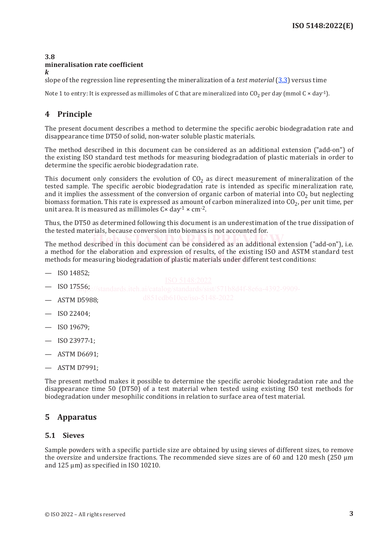### **3.8 mineralisation rate coefficient**

slope of the regression line representing the mineralization of a *test material* (3.3) versus time

Note 1 to entry: It is expressed as millimoles of C that are mineralized into  $CO<sub>2</sub>$  per day (mmol C  $\times$  day<sup>-1</sup>).

## **4 Principle**

*k*

The present document describes a method to determine the specific aerobic biodegradation rate and disappearance time DT50 of solid, non-water soluble plastic materials.

The method described in this document can be considered as an additional extension ("add-on") of the existing ISO standard test methods for measuring biodegradation of plastic materials in order to determine the specific aerobic biodegradation rate.

This document only considers the evolution of  $CO<sub>2</sub>$  as direct measurement of mineralization of the tested sample. The specific aerobic biodegradation rate is intended as specific mineralization rate, and it implies the assessment of the conversion of organic carbon of material into  $CO<sub>2</sub>$  but neglecting biomass formation. This rate is expressed as amount of carbon mineralized into  $CO<sub>2</sub>$ , per unit time, per unit area. It is measured as millimoles  $Cx$  day<sup>-1</sup> × cm<sup>-2</sup>.

Thus, the DT50 as determined following this document is an underestimation of the true dissipation of the tested materials, because conversion into biomass is not accounted for.

The method described in this document can be considered as an additional extension ("add-on"), i.e. a method for the elaboration and expression of results, of the existing ISO and ASTM standard test a method for the elaboration and expression of results, of the existing ISO and ASTM starehods for measuring biodegradation of plastic materials under different test conditions:<br>Methods for measuring biodegradation of plas

— ISO 14852;

- $-$  ISO 17556;
- ASTM D5988;
- ISO 22404;
- ISO 19679;
- ISO 23977-1;
- ASTM D6691;
- ASTM D7991;

The present method makes it possible to determine the specific aerobic biodegradation rate and the disappearance time 50 (DT50) of a test material when tested using existing ISO test methods for biodegradation under mesophilic conditions in relation to surface area of test material.

### **5 Apparatus**

### **5.1 Sieves**

Sample powders with a specific particle size are obtained by using sieves of different sizes, to remove the oversize and undersize fractions. The recommended sieve sizes are of 60 and 120 mesh (250 µm and 125 µm) as specified in ISO 10210.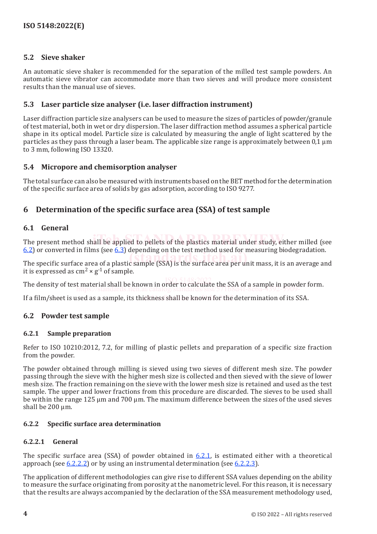### **5.2 Sieve shaker**

An automatic sieve shaker is recommended for the separation of the milled test sample powders. An automatic sieve vibrator can accommodate more than two sieves and will produce more consistent results than the manual use of sieves.

### **5.3 Laser particle size analyser (i.e. laser diffraction instrument)**

Laser diffraction particle size analysers can be used to measure the sizes of particles of powder/granule of test material, both in wet or dry dispersion. The laser diffraction method assumes a spherical particle shape in its optical model. Particle size is calculated by measuring the angle of light scattered by the particles as they pass through a laser beam. The applicable size range is approximately between  $0.1 \mu m$ to 3 mm, following ISO 13320.

### **5.4 Micropore and chemisorption analyser**

The total surface can also be measured with instruments based on the BET method for the determination of the specific surface area of solids by gas adsorption, according to ISO 9277.

### **6 Determination of the specific surface area (SSA) of test sample**

### **6.1 General**

The present method shall be applied to pellets of the plastics material under study, either milled (see 6.2) or converted in films (see 6.3) depending on the test method used for measuring biodegradation.

The specific surface area of a plastic sample (SSA) is the surface area per unit mass, it is an average and The specific surface area of a plastic sample (SSA) is the surface area per unit mass, it is an average and it is expressed as  $\text{cm}^2 \times \text{g}^{\text{-}1}$  of sample.

The density of test material shall be known in order to calculate the SSA of a sample in powder form. ISO 5148:2022  $\frac{1}{100}$  hatch as sharple Known in order to carculate the 55A or a sample in powd-

If a film/sheet is used as a sample, its thickness shall be known for the determination of its SSA.

### **6.2 Powder test sample**

### **6.2.1 Sample preparation**

Refer to ISO 10210:2012, 7.2, for milling of plastic pellets and preparation of a specific size fraction from the powder.

The powder obtained through milling is sieved using two sieves of different mesh size. The powder passing through the sieve with the higher mesh size is collected and then sieved with the sieve of lower mesh size. The fraction remaining on the sieve with the lower mesh size is retained and used as the test sample. The upper and lower fractions from this procedure are discarded. The sieves to be used shall be within the range 125 µm and 700 µm. The maximum difference between the sizes of the used sieves shall be 200  $\mu$ m.

### **6.2.2 Specific surface area determination**

### **6.2.2.1 General**

The specific surface area (SSA) of powder obtained in 6.2.1, is estimated either with a theoretical approach (see  $(6.2.2.2)$ ) or by using an instrumental determination (see  $(6.2.2.3)$ ).

The application of different methodologies can give rise to different SSA values depending on the ability to measure the surface originating from porosity at the nanometric level. For this reason, it is necessary that the results are always accompanied by the declaration of the SSA measurement methodology used,